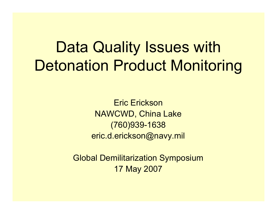## Data Quality Issues with Detonation Product Monitoring

Eric EricksonNAWCWD, China Lake (760)939-1638 eric.d.erickson@navy.mil

Global Demilitarization Symposium 17 May 2007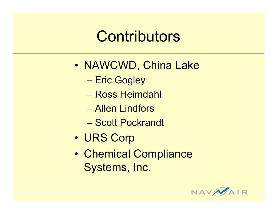## **Contributors**

- $\bullet$  NAWCWD, China Lake
	- –Eric Gogley
	- Ross Heimdahl
	- Allen Lindfors
	- Scott Pockrandt
- •URS Corp
- $\bullet$  Chemical Compliance Systems, Inc.

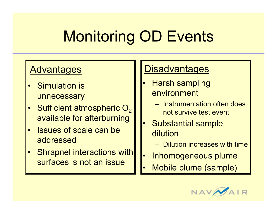# Monitoring OD Events

- • Simulation is unnecessary
- •Sufficient atmospheric  $\mathsf{O}_2$ available for afterburning
- • Issues of scale can be addressed
- • Shrapnel interactions with surfaces is not an issue

#### Advantages | Disadvantages

- • Harsh sampling environment
	- Instrumentation often does not survive test event
- • Substantial sample dilution
	- Dilution increases with time
- •Inhomogeneous plume
- •Mobile plume (sample)

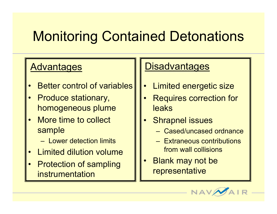## Monitoring Contained Detonations

- •Better control of variables
- • Produce stationary, homogeneous plume
- • More time to collect sample
	- Lower detection limits
- •Limited dilution volume
- • Protection of sampling instrumentation

#### Advantages | Disadvantages

- •Limited energetic size
- • Requires correction for leaks
- • Shrapnel issues
	- Cased/uncased ordnance
	- Extraneous contributions from wall collisions
- $\bullet$  Blank may not be representative

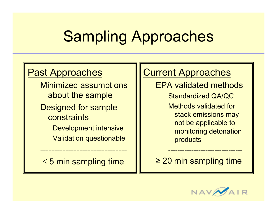# Sampling Approaches

#### Past Approaches

Minimized assumptions about the sample

Designed for sample constraints

Development intensive

Validation questionable

 $\leq$  5 min sampling time

-------------------------------

#### **Current Approaches**

EPA validated methods

Standardized QA/QC Methods validated for stack emissions may not be applicable to monitoring detonation products

--------------------------------

≥ 20 min sampling time

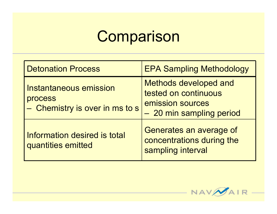## **Comparison**

| <b>Detonation Process</b>                                                  | <b>EPA Sampling Methodology</b>                                                                      |
|----------------------------------------------------------------------------|------------------------------------------------------------------------------------------------------|
| <b>Instantaneous emission</b><br>process<br>- Chemistry is over in ms to s | <b>Methods developed and</b><br>tested on continuous<br>emission sources<br>- 20 min sampling period |
| <b>Information desired is total</b><br>quantities emitted                  | Generates an average of<br>concentrations during the<br>sampling interval                            |

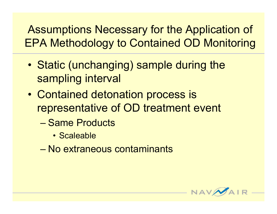Assumptions Necessary for the Application of EPA Methodology to Contained OD Monitoring

- • Static (unchanging) sample during the sampling interval
- • Contained detonation process is representative of OD treatment event
	- Same Products
		- Scaleable
	- No extraneous contaminants

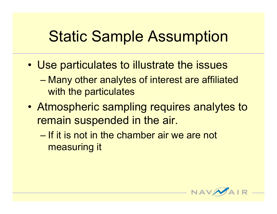## Static Sample Assumption

- Use particulates to illustrate the issues
	- – Many other analytes of interest are affiliated with the particulates
- Atmospheric sampling requires analytes to remain suspended in the air.
	- If it is not in the chamber air we are not measuring it

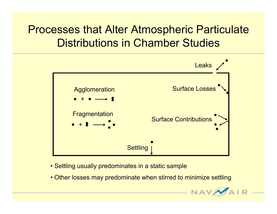#### Processes that Alter Atmospheric Particulate Distributions in Chamber Studies



- Settling usually predominates in a static sample
- Other losses may predominate when stirred to minimize settling

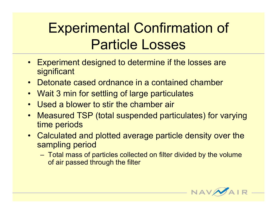#### Experimental Confirmation of Particle Losses

- Experiment designed to determine if the losses are **significant**
- Detonate cased ordnance in a contained chamber
- •Wait 3 min for settling of large particulates
- $\bullet$ Used a blower to stir the chamber air
- $\bullet$  Measured TSP (total suspended particulates) for varying time periods
- Calculated and plotted average particle density over the sampling period
	- – Total mass of particles collected on filter divided by the volume of air passed through the filter

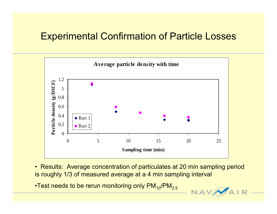#### Experimental Confirmation of Particle Losses



• Results: Average concentration of particulates at 20 min sampling period is roughly 1/3 of measured average at a 4 min sampling interval

•Test needs to be rerun monitoring only  $PM_{10}/PM_{2.5}$ 

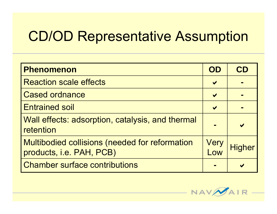#### CD/OD Representative Assumption

| <b>Phenomenon</b>                                                                 | OD                    | CD            |
|-----------------------------------------------------------------------------------|-----------------------|---------------|
| <b>Reaction scale effects</b>                                                     | $\blacktriangledown$  |               |
| <b>Cased ordnance</b>                                                             | $\blacktriangleright$ |               |
| <b>Entrained soil</b>                                                             | $\blacktriangleright$ |               |
| Wall effects: adsorption, catalysis, and thermal<br>retention                     |                       |               |
| <b>Multibodied collisions (needed for reformation</b><br>products, i.e. PAH, PCB) | Very<br>Low           | <b>Higher</b> |
| <b>Chamber surface contributions</b>                                              |                       |               |

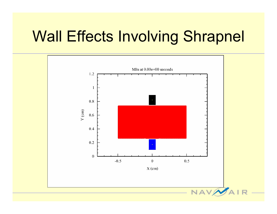## Wall Effects Involving Shrapnel

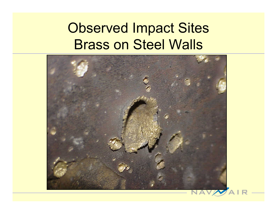#### Observed Impact Sites Brass on Steel Walls



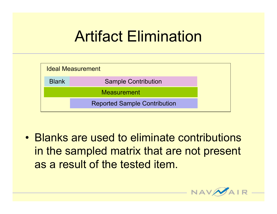## Artifact Elimination



• Blanks are used to eliminate contributions in the sampled matrix that are not present as a result of the tested item.

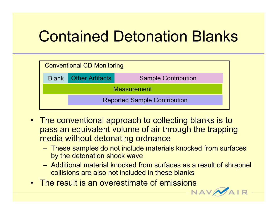# Contained Detonation Blanks

| <b>Conventional CD Monitoring</b>   |                              |                            |
|-------------------------------------|------------------------------|----------------------------|
|                                     | <b>Blank Other Artifacts</b> | <b>Sample Contribution</b> |
| <b>Measurement</b>                  |                              |                            |
| <b>Reported Sample Contribution</b> |                              |                            |
|                                     |                              |                            |

- The conventional approach to collecting blanks is to pass an equivalent volume of air through the trapping media without detonating ordnance
	- – These samples do not include materials knocked from surfaces by the detonation shock wave
	- – Additional material knocked from surfaces as a result of shrapnel collisions are also not included in these blanks
- The result is an overestimate of emissions

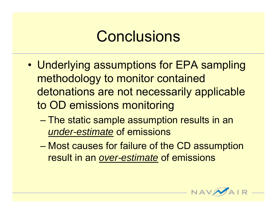## **Conclusions**

- • Underlying assumptions for EPA sampling methodology to monitor contained detonations are not necessarily applicable to OD emissions monitoring
	- – The static sample assumption results in an *under-estimate* of emissions
	- Most causes for failure of the CD assumption result in an *over-estimate* of emissions